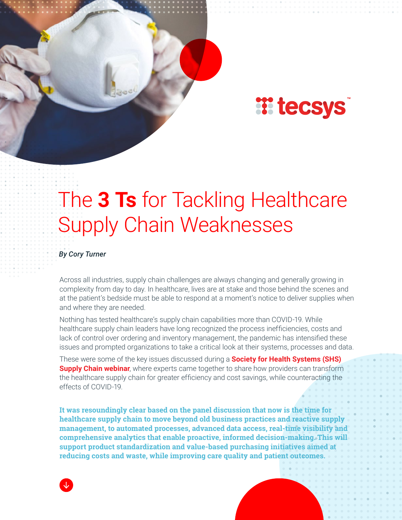

# The **3 Ts** for Tackling Healthcare Supply Chain Weaknesses

#### *By Cory Turner*

Across all industries, supply chain challenges are always changing and generally growing in complexity from day to day. In healthcare, lives are at stake and those behind the scenes and at the patient's bedside must be able to respond at a moment's notice to deliver supplies when and where they are needed.

Nothing has tested healthcare's supply chain capabilities more than COVID-19. While healthcare supply chain leaders have long recognized the process inefficiencies, costs and lack of control over ordering and inventory management, the pandemic has intensified these issues and prompted organizations to take a critical look at their systems, processes and data.

These were some of the key issues discussed during a **[Society for Health Systems \(SHS\)](https://tecsys.hubs.vidyard.com/watch/VEA47ciH23yEJH9XPcJEYA)  [Supply Chain webinar](https://tecsys.hubs.vidyard.com/watch/VEA47ciH23yEJH9XPcJEYA)**, where experts came together to share how providers can transform the healthcare supply chain for greater efficiency and cost savings, while counteracting the effects of COVID-19.

**It was resoundingly clear based on the panel discussion that now is the time for healthcare supply chain to move beyond old business practices and reactive supply management, to automated processes, advanced data access, real-time visibility and comprehensive analytics that enable proactive, informed decision-making. This will support product standardization and value-based purchasing initiatives aimed at reducing costs and waste, while improving care quality and patient outcomes.**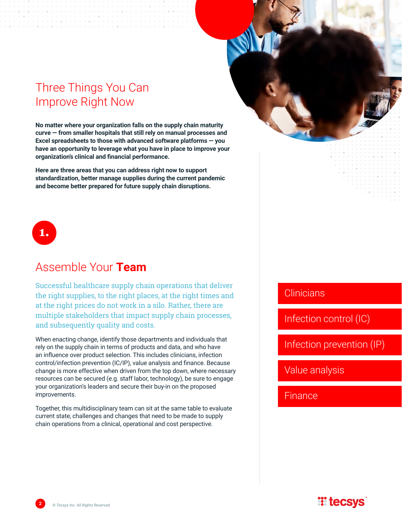## Three Things You Can Improve Right Now

**No matter where your organization falls on the supply chain maturity curve — from smaller hospitals that still rely on manual processes and Excel spreadsheets to those with advanced software platforms — you have an opportunity to leverage what you have in place to improve your organization's clinical and financial performance.** 

**Here are three areas that you can address right now to support standardization, better manage supplies during the current pandemic and become better prepared for future supply chain disruptions.**

# **1.**

## Assemble Your **Team**

Successful healthcare supply chain operations that deliver the right supplies, to the right places, at the right times and at the right prices do not work in a silo. Rather, there are multiple stakeholders that impact supply chain processes, and subsequently quality and costs.

When enacting change, identify those departments and individuals that rely on the supply chain in terms of products and data, and who have an influence over product selection. This includes clinicians, infection control/infection prevention (IC/IP), value analysis and finance. Because change is more effective when driven from the top down, where necessary resources can be secured (e.g. staff labor, technology), be sure to engage your organization's leaders and secure their buy-in on the proposed improvements.

Together, this multidisciplinary team can sit at the same table to evaluate current state, challenges and changes that need to be made to supply chain operations from a clinical, operational and cost perspective.

#### **Clinicians**

Infection control (IC)

Infection prevention (IP)

Value analysis

Finance

## **II tecsys**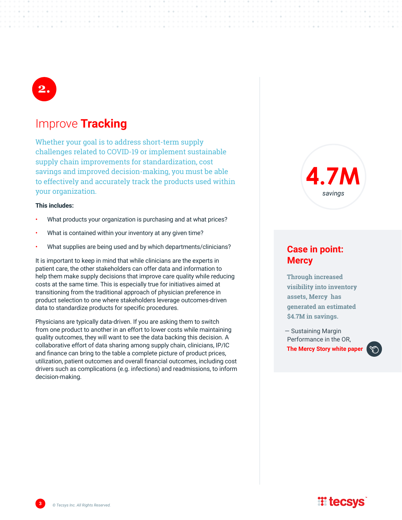# **2.**

#### Improve **Tracking**

Whether your goal is to address short-term supply challenges related to COVID-19 or implement sustainable supply chain improvements for standardization, cost savings and improved decision-making, you must be able to effectively and accurately track the products used within your organization.

#### **This includes:**

- What products your organization is purchasing and at what prices?
- What is contained within your inventory at any given time?
- What supplies are being used and by which departments/clinicians?

It is important to keep in mind that while clinicians are the experts in patient care, the other stakeholders can offer data and information to help them make supply decisions that improve care quality while reducing costs at the same time. This is especially true for initiatives aimed at transitioning from the traditional approach of physician preference in product selection to one where stakeholders leverage outcomes-driven data to standardize products for specific procedures.

Physicians are typically data-driven. If you are asking them to switch from one product to another in an effort to lower costs while maintaining quality outcomes, they will want to see the data backing this decision. A collaborative effort of data sharing among supply chain, clinicians, IP/IC and finance can bring to the table a complete picture of product prices, utilization, patient outcomes and overall financial outcomes, including cost drivers such as complications (e.g. infections) and readmissions, to inform decision-making.



#### **Case in point: Mercy**

**Through increased visibility into inventory assets, Mercy has generated an estimated \$4.7M in savings.**

— Sustaining Margin Performance in the OR, **[The Mercy Story white paper](https://infohub.tecsys.com/white-paper-sustaining-margin-performance-in-the-or/)**



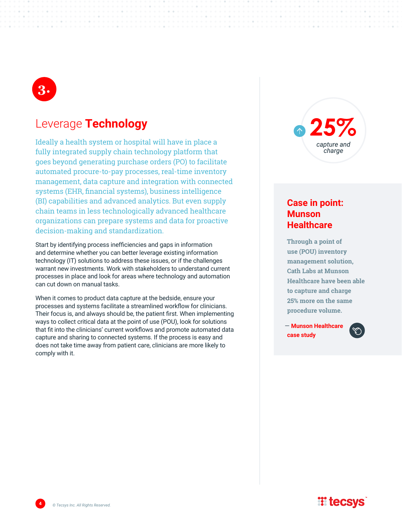

#### Leverage **Technology**

Ideally a health system or hospital will have in place a fully integrated supply chain technology platform that goes beyond generating purchase orders (PO) to facilitate automated procure-to-pay processes, real-time inventory management, data capture and integration with connected systems (EHR, financial systems), business intelligence (BI) capabilities and advanced analytics. But even supply chain teams in less technologically advanced healthcare organizations can prepare systems and data for proactive decision-making and standardization.

Start by identifying process inefficiencies and gaps in information and determine whether you can better leverage existing information technology (IT) solutions to address these issues, or if the challenges warrant new investments. Work with stakeholders to understand current processes in place and look for areas where technology and automation can cut down on manual tasks.

When it comes to product data capture at the bedside, ensure your processes and systems facilitate a streamlined workflow for clinicians. Their focus is, and always should be, the patient first. When implementing ways to collect critical data at the point of use (POU), look for solutions that fit into the clinicians' current workflows and promote automated data capture and sharing to connected systems. If the process is easy and does not take time away from patient care, clinicians are more likely to comply with it.

**25%** *capture and charge*

#### **Case in point: Munson Healthcare**

**Through a point of use (POU) inventory management solution, Cath Labs at Munson Healthcare have been able to capture and charge 25% more on the same procedure volume.**

— **[Munson Healthcare](https://infohub.tecsys.com/hubfs/Case-Studies/TECSYS-Munson-Healthcare-Case-Study.pdf)  [case study](https://infohub.tecsys.com/hubfs/Case-Studies/TECSYS-Munson-Healthcare-Case-Study.pdf)**



### **Witecsys**